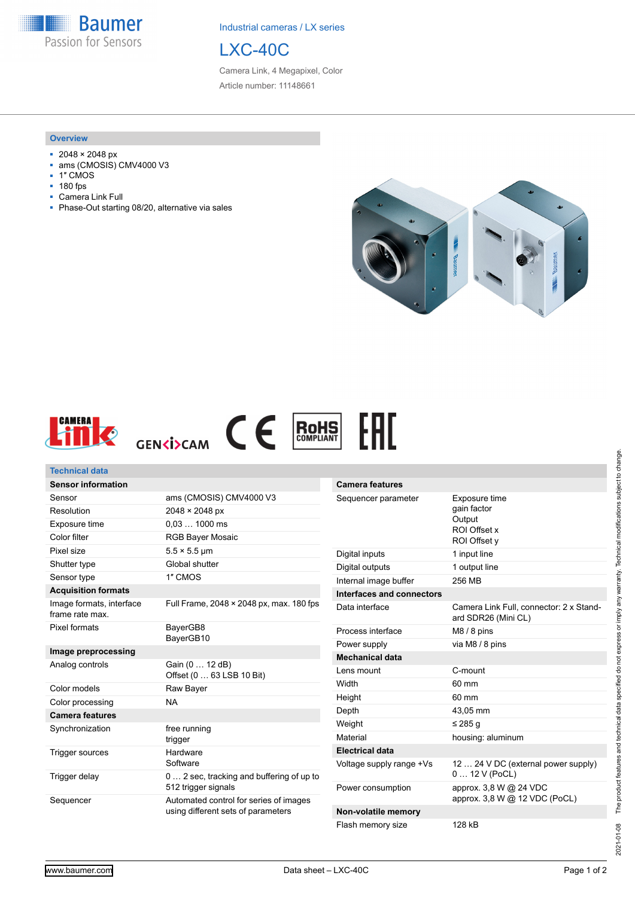**Baumer** Passion for Sensors

Industrial cameras / LX series



Camera Link, 4 Megapixel, Color Article number: 11148661

## **Overview**

- 2048 × 2048 px
- ams (CMOSIS) CMV4000 V3
- 1″ CMOS
- 180 fps
- Camera Link Full
- Phase-Out starting 08/20, alternative via sales





| <b>Technical data</b>                       |                                                                                                     |                                                                               |                                                                |
|---------------------------------------------|-----------------------------------------------------------------------------------------------------|-------------------------------------------------------------------------------|----------------------------------------------------------------|
| <b>Sensor information</b>                   |                                                                                                     | <b>Camera features</b>                                                        |                                                                |
| Sensor                                      | ams (CMOSIS) CMV4000 V3                                                                             | Sequencer parameter<br>Exposure time<br>gain factor<br>Output<br>ROI Offset x |                                                                |
| Resolution                                  | $2048 \times 2048 \text{ px}$                                                                       |                                                                               |                                                                |
| Exposure time                               | $0.031000$ ms                                                                                       |                                                                               |                                                                |
| Color filter                                | <b>RGB Bayer Mosaic</b>                                                                             |                                                                               | ROI Offset y                                                   |
| Pixel size                                  | $5.5 \times 5.5$ µm                                                                                 | Digital inputs                                                                | 1 input line                                                   |
| Shutter type                                | Global shutter                                                                                      | Digital outputs                                                               | 1 output line                                                  |
| Sensor type                                 | 1" CMOS                                                                                             | Internal image buffer                                                         | 256 MB                                                         |
| <b>Acquisition formats</b>                  |                                                                                                     | Interfaces and connectors                                                     |                                                                |
| Image formats, interface<br>frame rate max. | Full Frame, 2048 × 2048 px, max. 180 fps                                                            | Data interface                                                                | Camera Link Full, connector: 2 x Stand-<br>ard SDR26 (Mini CL) |
| <b>Pixel formats</b>                        | BayerGB8                                                                                            | Process interface                                                             | $M8/8$ pins                                                    |
|                                             | BayerGB10                                                                                           | Power supply                                                                  | via M8 / 8 pins                                                |
| Image preprocessing                         |                                                                                                     | <b>Mechanical data</b>                                                        |                                                                |
| Analog controls                             | Gain (0  12 dB)<br>Offset (0  63 LSB 10 Bit)                                                        | Lens mount                                                                    | C-mount                                                        |
| Color models                                | Raw Bayer                                                                                           | Width                                                                         | 60 mm                                                          |
| Color processing                            | <b>NA</b>                                                                                           | Height                                                                        | 60 mm                                                          |
| <b>Camera features</b>                      |                                                                                                     | Depth                                                                         | 43,05 mm                                                       |
| Synchronization                             | free running<br>trigger                                                                             | Weight                                                                        | $\leq$ 285 g                                                   |
|                                             |                                                                                                     | Material                                                                      | housing: aluminum                                              |
| <b>Trigger sources</b>                      | Hardware                                                                                            | <b>Electrical data</b>                                                        |                                                                |
| Trigger delay                               | Software<br>0  2 sec, tracking and buffering of up to                                               | Voltage supply range +Vs                                                      | 12  24 V DC (external power supply)<br>$012V$ (PoCL)           |
| Sequencer                                   | 512 trigger signals<br>Automated control for series of images<br>using different sets of parameters | Power consumption                                                             | approx. 3,8 W @ 24 VDC<br>approx. 3,8 W @ 12 VDC (PoCL)        |
|                                             |                                                                                                     | Non-volatile memory                                                           |                                                                |
|                                             |                                                                                                     | Flash memory size                                                             | 128 kB                                                         |